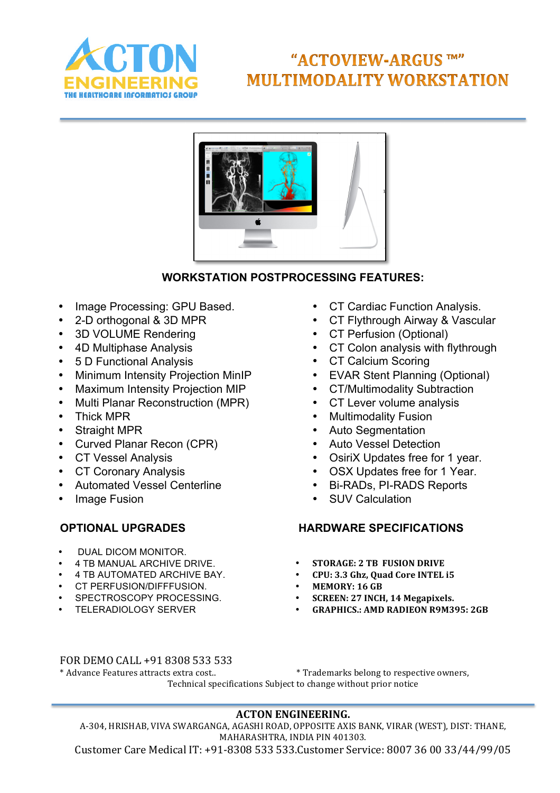

# "ACTOVIEW-ARGUS TM" **MULTIMODALITY WORKSTATION**



# **WORKSTATION POSTPROCESSING FEATURES:**

- Image Processing: GPU Based.
- 2-D orthogonal & 3D MPR
- 3D VOLUME Rendering
- 4D Multiphase Analysis
- 5 D Functional Analysis
- Minimum Intensity Projection MinIP
- Maximum Intensity Projection MIP
- Multi Planar Reconstruction (MPR)
- Thick MPR
- Straight MPR
- Curved Planar Recon (CPR)
- CT Vessel Analysis
- CT Coronary Analysis
- Automated Vessel Centerline
- Image Fusion

- DUAL DICOM MONITOR.
- 4 TR MANUAL ARCHIVE DRIVE
- 4 TB AUTOMATED ARCHIVE BAY.
- CT PERFUSION/DIFFFUSION.
- SPECTROSCOPY PROCESSING.
- TELERADIOLOGY SERVER
- CT Cardiac Function Analysis.
- CT Flythrough Airway & Vascular
- CT Perfusion (Optional)
- CT Colon analysis with flythrough
- CT Calcium Scoring
- EVAR Stent Planning (Optional)
- CT/Multimodality Subtraction
- CT Lever volume analysis
- Multimodality Fusion
- Auto Segmentation
- Auto Vessel Detection
- OsiriX Updates free for 1 year.
- OSX Updates free for 1 Year.
- Bi-RADs, PI-RADS Reports
- **SUV Calculation**

# **OPTIONAL UPGRADES HARDWARE SPECIFICATIONS**

- **STORAGE: 2 TB FUSION DRIVE**<br>• **CPU: 3.3 Gbz, Quad Core INTFL**
- CPU: 3.3 Ghz, Quad Core INTEL i5<br>• MEMORY: 16 GB
- **MEMORY: 16 GB**<br>• **SCREEN: 27 INCH**
- **SCREEN: 27 INCH, 14 Megapixels.**<br>• **GRAPHICS · AMD RADIFON R9M3**
- **GRAPHICS.: AMD RADIEON R9M395: 2GB**

#### FOR DEMO CALL +91 8308 533 533

\* Advance Features attracts extra cost.. \* Trademarks belong to respective owners, Technical specifications Subject to change without prior notice

# **ACTON ENGINEERING.**

A-304, HRISHAB, VIVA SWARGANGA, AGASHI ROAD, OPPOSITE AXIS BANK, VIRAR (WEST), DIST: THANE, MAHARASHTRA, INDIA PIN 401303.

Customer Care Medical IT: +91-8308 533 533.Customer Service: 8007 36 00 33/44/99/05